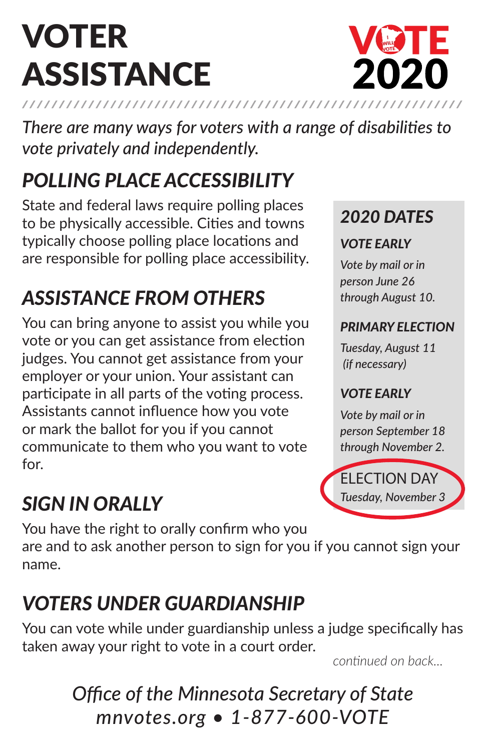# VOTER **ASSISTANCE**



*There are many ways for voters with a range of disabilities to vote privately and independently.*

## *POLLING PLACE ACCESSIBILITY*

State and federal laws require polling places to be physically accessible. Cities and towns typically choose polling place locations and are responsible for polling place accessibility.

## *ASSISTANCE FROM OTHERS*

You can bring anyone to assist you while you vote or you can get assistance from election judges. You cannot get assistance from your employer or your union. Your assistant can participate in all parts of the voting process. Assistants cannot influence how you vote or mark the ballot for you if you cannot communicate to them who you want to vote for.

## *SIGN IN ORALLY*

*2020 DATES VOTE EARLY*

*Vote by mail or in person June 26*

*through August 10.* 

### *PRIMARY ELECTION*

*Tuesday, August 11 (if necessary)*

### *VOTE EARLY*

*Vote by mail or in person September 18 through November 2.*

ELECTION DAY *Tuesday, November 3*

You have the right to orally confirm who you are and to ask another person to sign for you if you cannot sign your name.

## *VOTERS UNDER GUARDIANSHIP*

You can vote while under guardianship unless a judge specifically has taken away your right to vote in a court order.

*continued on back...*

### *Office of the Minnesota Secretary of State mnvotes.org • 1-877-600-VOTE*